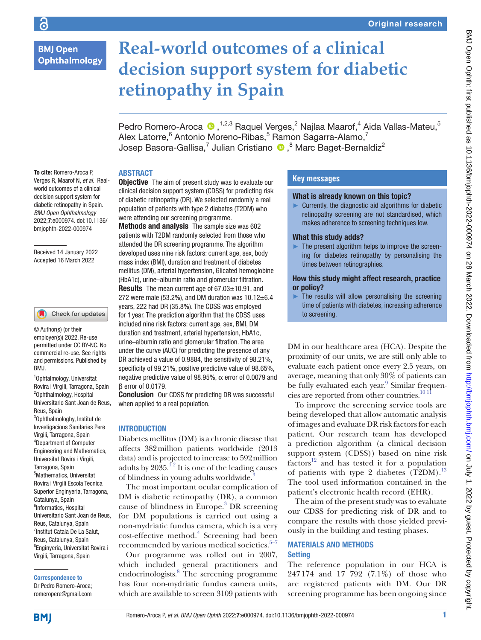# **BMJ Open** Ophthalmology

# **Real-world outcomes of a clinical decision support system for diabetic retinopathy in Spain**

PedroRomero-Aroca (D, 1,2,3 Raquel Verges,<sup>2</sup> Najlaa Maarof,<sup>4</sup> Aida Vallas-Mateu,<sup>5</sup> Alex Latorre, <sup>6</sup> Antonio Moreno-Ribas, <sup>5</sup> Ramon Sagarra-Alamo, <sup>7</sup> Josep Basora-Gallisa,<sup>7</sup> Julian Cristiano <sup>10</sup>, <sup>8</sup> Marc Baget-Bernaldiz<sup>2</sup>

To cite: Romero-Aroca P, Verges R, Maarof N, *et al*. Realworld outcomes of a clinical decision support system for diabetic retinopathy in Spain. *BMJ Open Ophthalmology* 2022;7:e000974. doi:10.1136/ bmjophth-2022-000974

#### Received 14 January 2022 Accepted 16 March 2022

#### Check for updates

© Author(s) (or their employer(s)) 2022. Re-use permitted under CC BY-NC. No commercial re-use. See rights and permissions. Published by BMJ.

1 Ophtalmology, Universitat Rovira i Virgili, Tarragona, Spain 2 Ophthalmology, Hospital Universitario Sant Joan de Reus, Reus, Spain 3 Ophthalmologhy, Institut de Investigacions Sanitaries Pere Virgili, Tarragona, Spain 4 Department of Computer Engineering and Mathematics, Universitat Rovira i Virgili, Tarragona, Spain 5 Mathematics, Universitat Rovira i Virgili Escola Tecnica Superior Enginyeria, Tarragona, Catalunya, Spain <sup>6</sup>Informatics, Hospital Universitario Sant Joan de Reus, Reus, Catalunya, Spain <sup>7</sup> Institut Catala De La Salut, Reus, Catalunya, Spain 8 Enginyeria, Universitat Rovira i Virgili, Tarragona, Spain

Correspondence to Dr Pedro Romero-Aroca; romeropere@gmail.com

## ABSTRACT

**Objective** The aim of present study was to evaluate our clinical decision support system (CDSS) for predicting risk of diabetic retinopathy (DR). We selected randomly a real population of patients with type 2 diabetes (T2DM) who were attending our screening programme.

Methods and analysis The sample size was 602 patients with T2DM randomly selected from those who attended the DR screening programme. The algorithm developed uses nine risk factors: current age, sex, body mass index (BMI), duration and treatment of diabetes mellitus (DM), arterial hypertension, Glicated hemoglobine (HbA1c), urine–albumin ratio and glomerular filtration. Results The mean current age of 67.03±10.91, and 272 were male (53.2%), and DM duration was  $10.12 \pm 6.4$ years, 222 had DR (35.8%). The CDSS was employed for 1 year. The prediction algorithm that the CDSS uses included nine risk factors: current age, sex, BMI, DM duration and treatment, arterial hypertension, HbA1c, urine–albumin ratio and glomerular filtration. The area under the curve (AUC) for predicting the presence of any DR achieved a value of 0.9884, the sensitivity of 98.21%, specificity of 99.21%, positive predictive value of 98.65%, negative predictive value of 98.95%,  $\alpha$  error of 0.0079 and β error of 0.0179.

**Conclusion** Our CDSS for predicting DR was successful when applied to a real population.

## INTRODUCTION

Diabetes mellitus (DM) is a chronic disease that affects 382million patients worldwide (2013 data) and is projected to increase to 592million adults by  $20\overline{35}$ .<sup>12</sup> It is one of the leading causes of blindness in young adults worldwide[.3](#page-5-1)

The most important ocular complication of DM is diabetic retinopathy (DR), a common cause of blindness in Europe.<sup>[3](#page-5-1)</sup> DR screening for DM populations is carried out using a non-mydriatic fundus camera, which is a very cost-effective method.<sup>[4](#page-5-2)</sup> Screening had been recommended by various medical societies. $5-7$ 

Our programme was rolled out in 2007, which included general practitioners and endocrinologists.<sup>8</sup> The screening programme has four non-mydriatic fundus camera units, which are available to screen 3109 patients with

## **Key messages**

#### What is already known on this topic?

 $\blacktriangleright$  Currently, the diagnostic aid algorithms for diabetic retinopathy screening are not standardised, which makes adherence to screening techniques low.

#### What this study adds?

 $\blacktriangleright$  The present algorithm helps to improve the screening for diabetes retinopathy by personalising the times between retinographies.

#### How this study might affect research, practice or policy?

 $\blacktriangleright$  The results will allow personalising the screening time of patients with diabetes, increasing adherence to screening.

DM in our healthcare area (HCA). Despite the proximity of our units, we are still only able to evaluate each patient once every 2.5 years, on average, meaning that only 30% of patients can be fully evaluated each year.<sup>9</sup> Similar frequencies are reported from other countries.<sup>10 11</sup>

To improve the screening service tools are being developed that allow automatic analysis of images and evaluate DR risk factors for each patient. Our research team has developed a prediction algorithm (a clinical decision support system (CDSS)) based on nine risk  $factors<sup>12</sup>$  and has tested it for a population of patients with type 2 diabetes  $(T2DM)^{13}$  $(T2DM)^{13}$  $(T2DM)^{13}$ The tool used information contained in the patient's electronic health record (EHR).

The aim of the present study was to evaluate our CDSS for predicting risk of DR and to compare the results with those yielded previously in the building and testing phases.

## MATERIALS AND METHODS **Setting**

The reference population in our HCA is 247174 and 17 792 (7.1%) of those who are registered patients with DM. Our DR screening programme has been ongoing since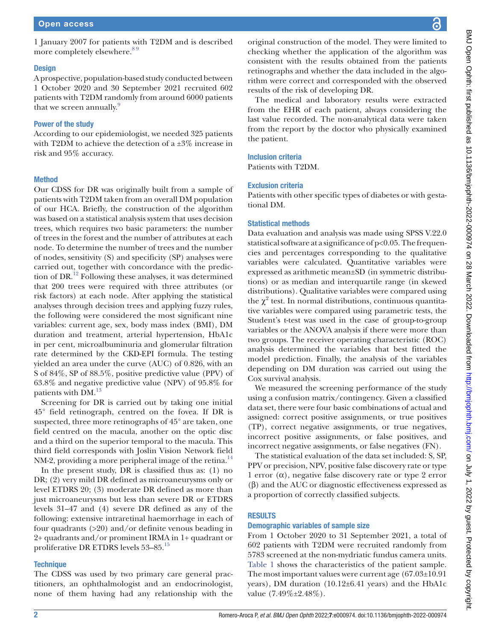1 January 2007 for patients with T2DM and is described more completely elsewhere.<sup>89</sup>

#### **Design**

A prospective, population-based study conducted between 1 October 2020 and 30 September 2021 recruited 602 patients with T2DM randomly from around 6000 patients that we screen annually.<sup>[9](#page-5-5)</sup>

## Power of the study

According to our epidemiologist, we needed 325 patients with T2DM to achieve the detection of a ±3% increase in risk and 95% accuracy.

#### Method

Our CDSS for DR was originally built from a sample of patients with T2DM taken from an overall DM population of our HCA. Briefly, the construction of the algorithm was based on a statistical analysis system that uses decision trees, which requires two basic parameters: the number of trees in the forest and the number of attributes at each node. To determine the number of trees and the number of nodes, sensitivity (S) and specificity (SP) analyses were carried out, together with concordance with the prediction of DR.[12](#page-5-7) Following these analyses, it was determined that 200 trees were required with three attributes (or risk factors) at each node. After applying the statistical analyses through decision trees and applying fuzzy rules, the following were considered the most significant nine variables: current age, sex, body mass index (BMI), DM duration and treatment, arterial hypertension, HbA1c in per cent, microalbuminuria and glomerular filtration rate determined by the CKD-EPI formula. The testing yielded an area under the curve (AUC) of 0.826, with an S of 84%, SP of 88.5%, positive predictive value (PPV) of 63.8% and negative predictive value (NPV) of 95.8% for patients with DM.<sup>[13](#page-5-8)</sup>

Screening for DR is carried out by taking one initial 45° field retinograph, centred on the fovea. If DR is suspected, three more retinographs of 45° are taken, one field centred on the macula, another on the optic disc and a third on the superior temporal to the macula. This third field corresponds with Joslin Vision Network field NM-2, providing a more peripheral image of the retina.<sup>[14](#page-5-9)</sup>

In the present study, DR is classified thus as: (1) no DR; (2) very mild DR defined as microaneurysms only or level ETDRS 20; (3) moderate DR defined as more than just microaneurysms but less than severe DR or ETDRS levels 31–47 and (4) severe DR defined as any of the following: extensive intraretinal haemorrhage in each of four quadrants (>20) and/or definite venous beading in 2+ quadrants and/or prominent IRMA in 1+ quadrant or proliferative DR ETDRS levels 53–85[.15](#page-5-10)

## **Technique**

The CDSS was used by two primary care general practitioners, an ophthalmologist and an endocrinologist, none of them having had any relationship with the

original construction of the model. They were limited to checking whether the application of the algorithm was consistent with the results obtained from the patients retinographs and whether the data included in the algorithm were correct and corresponded with the observed results of the risk of developing DR.

The medical and laboratory results were extracted from the EHR of each patient, always considering the last value recorded. The non-analytical data were taken from the report by the doctor who physically examined the patient.

## Inclusion criteria

Patients with T2DM.

#### Exclusion criteria

Patients with other specific types of diabetes or with gestational DM.

#### Statistical methods

Data evaluation and analysis was made using SPSS V.22.0 statistical software at a significance of p<0.05. The frequencies and percentages corresponding to the qualitative variables were calculated. Quantitative variables were expressed as arithmetic mean±SD (in symmetric distributions) or as median and interquartile range (in skewed distributions). Qualitative variables were compared using the  $\chi^2$  test. In normal distributions, continuous quantitative variables were compared using parametric tests, the Student's t-test was used in the case of group-to-group variables or the ANOVA analysis if there were more than two groups. The receiver operating characteristic (ROC) analysis determined the variables that best fitted the model prediction. Finally, the analysis of the variables depending on DM duration was carried out using the Cox survival analysis.

We measured the screening performance of the study using a confusion matrix/contingency. Given a classified data set, there were four basic combinations of actual and assigned: correct positive assignments, or true positives (TP), correct negative assignments, or true negatives, incorrect positive assignments, or false positives, and incorrect negative assignments, or false negatives (FN).

The statistical evaluation of the data set included: S, SP, PPV or precision, NPV, positive false discovery rate or type 1 error  $(\alpha)$ , negative false discovery rate or type 2 error (β) and the AUC or diagnostic effectiveness expressed as a proportion of correctly classified subjects.

## RESULTS

#### Demographic variables of sample size

From 1 October 2020 to 31 September 2021, a total of 602 patients with T2DM were recruited randomly from 5783 screened at the non-mydriatic fundus camera units. [Table](#page-2-0) 1 shows the characteristics of the patient sample. The most important values were current age (67.03±10.91 years), DM duration (10.12±6.41 years) and the HbA1c value (7.49%±2.48%).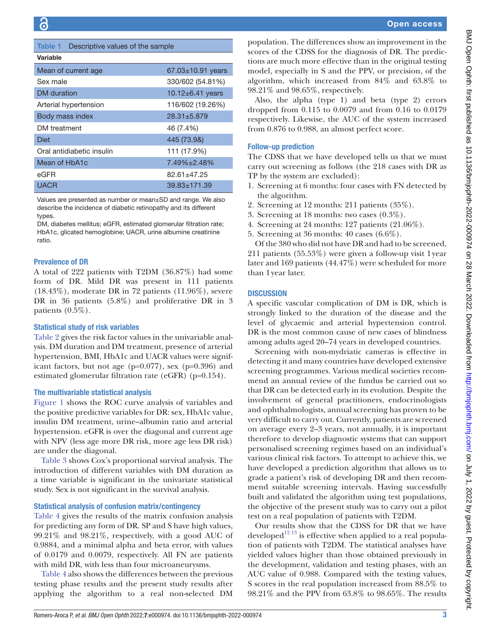|  |  | <b>Open access</b> |  |  |  |
|--|--|--------------------|--|--|--|
|  |  |                    |  |  |  |

<span id="page-2-0"></span>

| Descriptive values of the sample<br><b>Table 1</b>                                                                                                                                                                                                                                         | population. The di                                                                                                         |                                                                                                                                    |  |  |
|--------------------------------------------------------------------------------------------------------------------------------------------------------------------------------------------------------------------------------------------------------------------------------------------|----------------------------------------------------------------------------------------------------------------------------|------------------------------------------------------------------------------------------------------------------------------------|--|--|
| Variable                                                                                                                                                                                                                                                                                   | scores of the CDSS<br>tions are much mo                                                                                    |                                                                                                                                    |  |  |
| Mean of current age                                                                                                                                                                                                                                                                        | model, especially i                                                                                                        |                                                                                                                                    |  |  |
| Sex male                                                                                                                                                                                                                                                                                   | 330/602 (54.81%)                                                                                                           | algorithm, which                                                                                                                   |  |  |
| <b>DM</b> duration                                                                                                                                                                                                                                                                         | 10.12 $\pm$ 6.41 years                                                                                                     | 98.21% and 98.65%                                                                                                                  |  |  |
| Arterial hypertension                                                                                                                                                                                                                                                                      | 116/602 (19.26%)                                                                                                           | Also, the alpha                                                                                                                    |  |  |
| Body mass index                                                                                                                                                                                                                                                                            | 28.31±5.879                                                                                                                | dropped from 0.1<br>respectively. Likew                                                                                            |  |  |
| DM treatment                                                                                                                                                                                                                                                                               | 46 (7.4%)                                                                                                                  | from 0.876 to 0.98                                                                                                                 |  |  |
| <b>Diet</b>                                                                                                                                                                                                                                                                                | 445 (73.9&)                                                                                                                |                                                                                                                                    |  |  |
| Oral antidiabetic insulin                                                                                                                                                                                                                                                                  | 111 (17.9%)                                                                                                                | <b>Follow-up prediction</b>                                                                                                        |  |  |
| Mean of HbA1c                                                                                                                                                                                                                                                                              | 7.49%±2.48%                                                                                                                | The CDSS that we                                                                                                                   |  |  |
| eGFR                                                                                                                                                                                                                                                                                       | carry out screening<br>TP by the system a                                                                                  |                                                                                                                                    |  |  |
| <b>UACR</b>                                                                                                                                                                                                                                                                                | 1. Screening at 6 n                                                                                                        |                                                                                                                                    |  |  |
| Values are presented as number or mean±SD and range. We also<br>describe the incidence of diabetic retinopathy and its different<br>types.<br>DM, diabetes mellitus; eGFR, estimated glomerular filtration rate;<br>HbA1c, glicated hemoglobine; UACR, urine albumine creatinine<br>ratio. | the algorithm.<br>2. Screening at 12<br>3. Screening at 18<br>4. Screening at 24<br>5. Screening at 36<br>Of the 380 who d |                                                                                                                                    |  |  |
| <b>Prevalence of DR</b><br>A total of 222 patients with T2DM (36.87%) had some<br>form of DR. Mild DR was present in 111 patients<br>$(18.43\%)$ , moderate DR in 72 patients $(11.96\%)$ , severe<br>DR in 36 patients $(5.8\%)$ and proliferative DR in 3<br>patients $(0.5\%)$ .        |                                                                                                                            | 211 patients (55.5)<br>later and 169 patie<br>than 1 year later.<br><b>DISCUSSION</b><br>A specific vascular<br>strongly linked to |  |  |

#### Statistical study of risk variables

[Table](#page-3-0) 2 gives the risk factor values in the univariable analysis. DM duration and DM treatment, presence of arterial hypertension, BMI, HbA1c and UACR values were significant factors, but not age  $(p=0.077)$ , sex  $(p=0.396)$  and estimated glomerular filtration rate (eGFR) (p=0.154).

#### The multivariable statistical analysis

[Figure](#page-3-1) 1 shows the ROC curve analysis of variables and the positive predictive variables for DR: sex, HbA1c value, insulin DM treatment, urine–albumin ratio and arterial hypertension. eGFR is over the diagonal and current age with NPV (less age more DR risk, more age less DR risk) are under the diagonal.

[Table](#page-4-0) 3 shows Cox's proportional survival analysis. The introduction of different variables with DM duration as a time variable is significant in the univariate statistical study. Sex is not significant in the survival analysis.

#### Statistical analysis of confusion matrix/contingency

[Table](#page-4-1) 4 gives the results of the matrix confusion analysis for predicting any form of DR. SP and S have high values, 99.21% and 98.21%, respectively, with a good AUC of 0.9884, and a minimal alpha and beta error, with values of 0.0179 and 0.0079, respectively. All FN are patients with mild DR, with less than four microaneurysms.

[Table](#page-4-1) 4 also shows the differences between the previous testing phase results and the present study results after applying the algorithm to a real non-selected DM

ifferences show an improvement in the S for the diagnosis of DR. The predicore effective than in the original testing in S and the PPV, or precision, of the increased from  $84\%$  and  $63.8\%$  to %, respectively.

(type 1) and beta (type 2) errors 15 to  $0.0079$  and from  $0.16$  to  $0.0179$ rise, the AUC of the system increased 8, an almost perfect score.

#### Follow-up prediction

have developed tells us that we must g as follows (the 218 cases with DR as re excluded):

- nonths: four cases with FN detected by
- months: 211 patients  $(35\%).$
- months: two cases  $(0.3\%)$ .
- months: 127 patients  $(21.06\%)$ .
- months:  $40 \text{ cases } (6.6\%).$

lid not have DR and had to be screened, 3%) were given a follow-up visit 1year ents  $(44.47\%)$  were scheduled for more

r complication of DM is DR, which is strongly linked to the duration of the disease and the level of glycaemic and arterial hypertension control. DR is the most common cause of new cases of blindness among adults aged 20–74 years in developed countries.

Screening with non-mydriatic cameras is effective in detecting it and many countries have developed extensive screening programmes. Various medical societies recommend an annual review of the fundus be carried out so that DR can be detected early in its evolution. Despite the involvement of general practitioners, endocrinologists and ophthalmologists, annual screening has proven to be very difficult to carry out. Currently, patients are screened on average every 2–3 years, not annually, it is important therefore to develop diagnostic systems that can support personalised screening regimes based on an individual's various clinical risk factors. To attempt to achieve this, we have developed a prediction algorithm that allows us to grade a patient's risk of developing DR and then recommend suitable screening intervals. Having successfully built and validated the algorithm using test populations, the objective of the present study was to carry out a pilot test on a real population of patients with T2DM.

Our results show that the CDSS for DR that we have developed<sup>12 13</sup> is effective when applied to a real population of patients with T2DM. The statistical analyses have yielded values higher than those obtained previously in the development, validation and testing phases, with an AUC value of 0.988. Compared with the testing values, S scores in the real population increased from 88.5% to 98.21% and the PPV from 63.8% to 98.65%. The results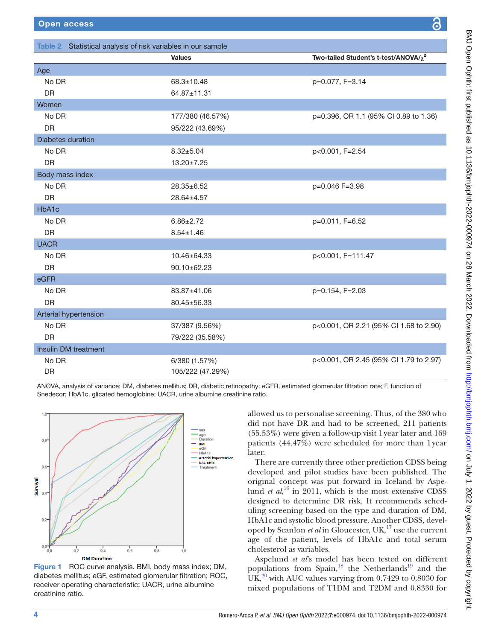<span id="page-3-0"></span>

| Table 2 Statistical analysis of risk variables in our sample |                  |                                                                                                                                        |  |  |  |
|--------------------------------------------------------------|------------------|----------------------------------------------------------------------------------------------------------------------------------------|--|--|--|
|                                                              | <b>Values</b>    | Two-tailed Student's t-test/ANOVA/ $\chi^2$                                                                                            |  |  |  |
| Age                                                          |                  |                                                                                                                                        |  |  |  |
| No DR                                                        | $68.3 \pm 10.48$ | p=0.077, F=3.14                                                                                                                        |  |  |  |
| <b>DR</b>                                                    | 64.87±11.31      |                                                                                                                                        |  |  |  |
| Women                                                        |                  |                                                                                                                                        |  |  |  |
| No DR                                                        | 177/380 (46.57%) | p=0.396, OR 1.1 (95% CI 0.89 to 1.36)                                                                                                  |  |  |  |
| <b>DR</b>                                                    | 95/222 (43.69%)  |                                                                                                                                        |  |  |  |
| Diabetes duration                                            |                  |                                                                                                                                        |  |  |  |
| No DR                                                        | $8.32 + 5.04$    | p<0.001, F=2.54                                                                                                                        |  |  |  |
| DR                                                           | 13.20±7.25       |                                                                                                                                        |  |  |  |
| Body mass index                                              |                  |                                                                                                                                        |  |  |  |
| No DR                                                        | $28.35 \pm 6.52$ | p=0.046 F=3.98                                                                                                                         |  |  |  |
| <b>DR</b>                                                    | 28.64±4.57       |                                                                                                                                        |  |  |  |
| HbA1c                                                        |                  |                                                                                                                                        |  |  |  |
| No DR                                                        | $6.86 \pm 2.72$  | p=0.011, F=6.52                                                                                                                        |  |  |  |
| DR                                                           | $8.54 \pm 1.46$  |                                                                                                                                        |  |  |  |
| <b>UACR</b>                                                  |                  |                                                                                                                                        |  |  |  |
| No DR                                                        | 10.46±64.33      | p<0.001, F=111.47                                                                                                                      |  |  |  |
| <b>DR</b>                                                    | 90.10±62.23      |                                                                                                                                        |  |  |  |
| eGFR                                                         |                  |                                                                                                                                        |  |  |  |
| No DR                                                        | 83.87±41.06      | p=0.154, F=2.03                                                                                                                        |  |  |  |
| <b>DR</b>                                                    | 80.45±56.33      |                                                                                                                                        |  |  |  |
| Arterial hypertension                                        |                  |                                                                                                                                        |  |  |  |
| No DR                                                        | 37/387 (9.56%)   | p<0.001, OR 2.21 (95% Cl 1.68 to 2.90)                                                                                                 |  |  |  |
| <b>DR</b>                                                    | 79/222 (35.58%)  |                                                                                                                                        |  |  |  |
| Insulin DM treatment                                         |                  |                                                                                                                                        |  |  |  |
| No DR                                                        | 6/380 (1.57%)    | p<0.001, OR 2.45 (95% Cl 1.79 to 2.97)                                                                                                 |  |  |  |
| DR                                                           | 105/222 (47.29%) |                                                                                                                                        |  |  |  |
|                                                              |                  | ANOVA analygia of variance: DM, dighotes mollitua: DD, dighotic retinenathy: oCED, estimated alemanyler filtration rate: E function of |  |  |  |

ANOVA, analysis of variance; DM, diabetes mellitus; DR, diabetic retinopathy; eGFR, estimated glomerular filtration rate; F, function of Snedecor; HbA1c, glicated hemoglobine; UACR, urine albumine creatinine ratio.



<span id="page-3-1"></span>Figure 1 ROC curve analysis. BMI, body mass index; DM, diabetes mellitus; eGF, estimated glomerular filtration; ROC, receiver operating characteristic; UACR, urine albumine creatinine ratio.

allowed us to personalise screening. Thus, of the 380 who did not have DR and had to be screened, 211 patients (55.53%) were given a follow-up visit 1year later and 169 patients (44.47%) were scheduled for more than 1year later.

There are currently three other prediction CDSS being developed and pilot studies have been published. The original concept was put forward in Iceland by Aspelund *et al*, [16](#page-5-11) in 2011, which is the most extensive CDSS designed to determine DR risk. It recommends scheduling screening based on the type and duration of DM, HbA1c and systolic blood pressure. Another CDSS, developed by Scanlon *et al* in Gloucester, UK,<sup>[17](#page-5-12)</sup> use the current age of the patient, levels of HbA1c and total serum cholesterol as variables.

Aspelund *et al*'s model has been tested on different populations from Spain, $^{18}$  the Netherlands<sup>19</sup> and the UK, $^{20}$  with AUC values varying from 0.7429 to 0.8030 for mixed populations of T1DM and T2DM and 0.8330 for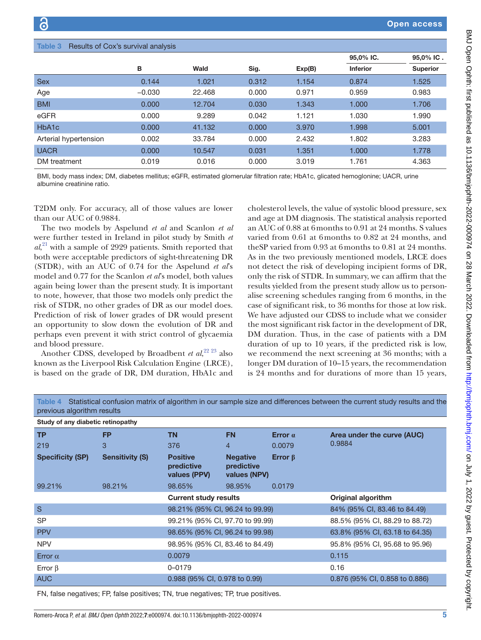<span id="page-4-0"></span>

| Results of Cox's survival analysis<br>Table 3 |                       |          |        |       |        |                 |                 |
|-----------------------------------------------|-----------------------|----------|--------|-------|--------|-----------------|-----------------|
|                                               |                       |          |        |       |        | 95,0% IC.       | 95,0% IC.       |
|                                               |                       | В        | Wald   | Sig.  | Exp(B) | <b>Inferior</b> | <b>Superior</b> |
| <b>Sex</b>                                    |                       | 0.144    | 1.021  | 0.312 | 1.154  | 0.874           | 1.525           |
| Age                                           |                       | $-0.030$ | 22.468 | 0.000 | 0.971  | 0.959           | 0.983           |
| <b>BMI</b>                                    |                       | 0.000    | 12.704 | 0.030 | 1.343  | 1.000           | 1.706           |
| eGFR                                          |                       | 0.000    | 9.289  | 0.042 | 1.121  | 1.030           | 1.990           |
| HbA <sub>1</sub> c                            |                       | 0.000    | 41.132 | 0.000 | 3.970  | 1.998           | 5.001           |
|                                               | Arterial hypertension | 0.002    | 33.784 | 0.000 | 2.432  | 1.802           | 3.283           |
| <b>UACR</b>                                   |                       | 0.000    | 10.547 | 0.031 | 1.351  | 1.000           | 1.778           |
| DM treatment                                  |                       | 0.019    | 0.016  | 0.000 | 3.019  | 1.761           | 4.363           |

BMI, body mass index; DM, diabetes mellitus; eGFR, estimated glomerular filtration rate; HbA1c, glicated hemoglonine; UACR, urine albumine creatinine ratio.

T2DM only. For accuracy, all of those values are lower than our AUC of 0.9884.

The two models by Aspelund *et al* and Scanlon *et al* were further tested in Ireland in pilot study by Smith *et al*, [21](#page-6-0) with a sample of 2929 patients. Smith reported that both were acceptable predictors of sight-threatening DR (STDR), with an AUC of 0.74 for the Aspelund *et al*'s model and 0.77 for the Scanlon *et al*'s model, both values again being lower than the present study. It is important to note, however, that those two models only predict the risk of STDR, no other grades of DR as our model does. Prediction of risk of lower grades of DR would present an opportunity to slow down the evolution of DR and perhaps even prevent it with strict control of glycaemia and blood pressure.

Another CDSS, developed by Broadbent *et al*, [22 23](#page-6-1) also known as the Liverpool Risk Calculation Engine (LRCE), is based on the grade of DR, DM duration, HbA1c and

cholesterol levels, the value of systolic blood pressure, sex and age at DM diagnosis. The statistical analysis reported an AUC of 0.88 at 6months to 0.91 at 24 months. S values varied from 0.61 at 6months to 0.82 at 24 months, and theSP varied from 0.93 at 6months to 0.81 at 24 months. As in the two previously mentioned models, LRCE does not detect the risk of developing incipient forms of DR, only the risk of STDR. In summary, we can affirm that the results yielded from the present study allow us to personalise screening schedules ranging from 6 months, in the case of significant risk, to 36 months for those at low risk. We have adjusted our CDSS to include what we consider the most significant risk factor in the development of DR, DM duration. Thus, in the case of patients with a DM duration of up to 10 years, if the predicted risk is low, we recommend the next screening at 36 months; with a longer DM duration of 10–15 years, the recommendation is 24 months and for durations of more than 15 years,

<span id="page-4-1"></span>Table 4 Statistical confusion matrix of algorithm in our sample size and differences between the current study results and the previous algorithm results

| Study of any diabetic retinopathy |                        |                                               |                                               |                |                                |  |  |
|-----------------------------------|------------------------|-----------------------------------------------|-----------------------------------------------|----------------|--------------------------------|--|--|
| <b>TP</b>                         | <b>FP</b>              | <b>TN</b>                                     | <b>FN</b>                                     | Error $\alpha$ | Area under the curve (AUC)     |  |  |
| 219                               | 3                      | 376                                           | $\overline{4}$                                | 0.0079         | 0.9884                         |  |  |
| <b>Specificity (SP)</b>           | <b>Sensitivity (S)</b> | <b>Positive</b><br>predictive<br>values (PPV) | <b>Negative</b><br>predictive<br>values (NPV) | Error $\beta$  |                                |  |  |
| 99.21%                            | 98.21%                 | 98.65%                                        | 98.95%                                        | 0.0179         |                                |  |  |
|                                   |                        | <b>Current study results</b>                  |                                               |                | <b>Original algorithm</b>      |  |  |
| S                                 |                        | 98.21% (95% CI, 96.24 to 99.99)               |                                               |                | 84% (95% CI, 83.46 to 84.49)   |  |  |
| <b>SP</b>                         |                        | 99.21% (95% CI, 97.70 to 99.99)               |                                               |                | 88.5% (95% CI, 88.29 to 88.72) |  |  |
| <b>PPV</b>                        |                        | 98.65% (95% CI, 96.24 to 99.98)               |                                               |                | 63.8% (95% CI, 63.18 to 64.35) |  |  |
| <b>NPV</b>                        |                        | 98.95% (95% CI, 83.46 to 84.49)               |                                               |                | 95.8% (95% CI, 95.68 to 95.96) |  |  |
| Error $\alpha$                    |                        | 0.0079                                        |                                               |                | 0.115                          |  |  |
| Error $\beta$                     |                        | $0 - 0179$                                    |                                               |                | 0.16                           |  |  |
| <b>AUC</b>                        |                        | 0.988 (95% CI, 0.978 to 0.99)                 |                                               |                | 0.876 (95% CI, 0.858 to 0.886) |  |  |

FN, false negatives; FP, false positives; TN, true negatives; TP, true positives.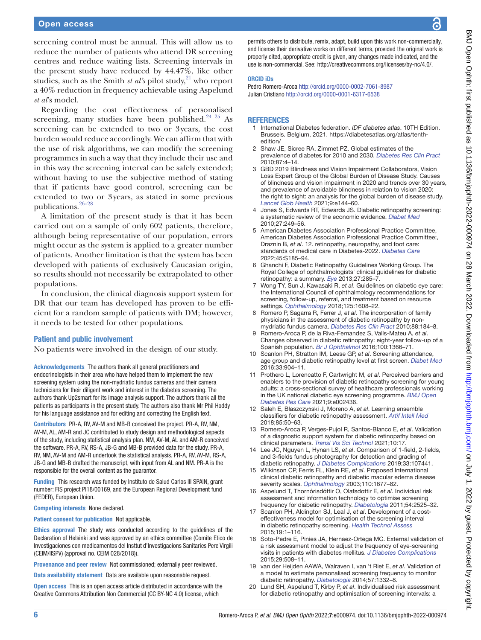screening control must be annual. This will allow us to reduce the number of patients who attend DR screening centres and reduce waiting lists. Screening intervals in the present study have reduced by 44.47%, like other studies, such as the Smith *et al's* pilot study, <sup>21</sup> who report a 40% reduction in frequency achievable using Aspelund *et al*'s model.

Regarding the cost effectiveness of personalised screening, many studies have been published. $2425$  As screening can be extended to two or 3years, the cost burden would reduce accordingly. We can affirm that with the use of risk algorithms, we can modify the screening programmes in such a way that they include their use and in this way the screening interval can be safely extended; without having to use the subjective method of stating that if patients have good control, screening can be extended to two or 3years, as stated in some previous publications[.26–28](#page-6-3)

A limitation of the present study is that it has been carried out on a sample of only 602 patients, therefore, although being representative of our population, errors might occur as the system is applied to a greater number of patients. Another limitation is that the system has been developed with patients of exclusively Caucasian origin, so results should not necessarily be extrapolated to other populations.

In conclusion, the clinical diagnosis support system for DR that our team has developed has proven to be efficient for a random sample of patients with DM; however, it needs to be tested for other populations.

## Patient and public involvement

No patients were involved in the design of our study.

Acknowledgements The authors thank all general practitioners and endocrinologists in their area who have helped them to implement the new screening system using the non-mydriatic fundus cameras and their camera technicians for their diligent work and interest in the diabetes screening. The authors thank Up2smart for its image analysis support. The authors thank all the patients as participants in the present study. The authors also thank Mr Phil Hoddy for his language assistance and for editing and correcting the English text.

Contributors PR-A, RV, AV-M and MB-B conceived the project. PR-A, RV, NM, AV-M, AL, AM-R and JC contributed to study design and methodological aspects of the study, including statistical analysis plan. NM, AV-M, AL and AM-R conceived the software. PR-A, RV, RS-A, JB-G and MB-B provided data for the study. PR-A, RV, NM, AV-M and AM-R undertook the statistical analysis. PR-A, RV, AV-M, RS-A, JB-G and MB-B drafted the manuscript, with input from AL and NM. PR-A is the responsible for the overall content as the guarantor.

Funding This research was funded by Instituto de Salud Carlos III SPAIN, grant number: FIS project PI18/00169, and the European Regional Development fund (FEDER), European Union.

Competing interests None declared.

Patient consent for publication Not applicable.

Ethics approval The study was conducted according to the guidelines of the Declaration of Helsinki and was approved by an ethics committee (Comite Etico de Investigaciones con medicamentos del Insttut d'Investigacions Sanitaries Pere Virgili (CEIM/IISPV) (approval no. CEIM 028/2018)).

Provenance and peer review Not commissioned; externally peer reviewed.

Data availability statement Data are available upon reasonable request.

Open access This is an open access article distributed in accordance with the Creative Commons Attribution Non Commercial (CC BY-NC 4.0) license, which

permits others to distribute, remix, adapt, build upon this work non-commercially, and license their derivative works on different terms, provided the original work is properly cited, appropriate credit is given, any changes made indicated, and the use is non-commercial. See:<http://creativecommons.org/licenses/by-nc/4.0/>.

#### ORCID iDs

Pedro Romero-Aroca<http://orcid.org/0000-0002-7061-8987> Julian Cristiano<http://orcid.org/0000-0001-6317-6538>

#### **REFERENCES**

- <span id="page-5-0"></span>1 International Diabetes federation. *IDF diabetes atlas*. 10TH Edition. Brussels. Belgium, 2021. [https://diabetesatlas.org/atlas/tenth](https://diabetesatlas.org/atlas/tenth-edition/)[edition/](https://diabetesatlas.org/atlas/tenth-edition/)
- 2 Shaw JE, Sicree RA, Zimmet PZ. Global estimates of the prevalence of diabetes for 2010 and 2030. *[Diabetes Res Clin Pract](http://dx.doi.org/10.1016/j.diabres.2009.10.007)* 2010;87:4–14.
- <span id="page-5-1"></span>3 GBD 2019 Blindness and Vision Impairment Collaborators, Vision Loss Expert Group of the Global Burden of Disease Study. Causes of blindness and vision impairment in 2020 and trends over 30 years, and prevalence of avoidable blindness in relation to vision 2020: the right to sight: an analysis for the global burden of disease study. *[Lancet Glob Health](http://dx.doi.org/10.1016/S2214-109X(20)30489-7)* 2021;9:e144–60.
- <span id="page-5-2"></span>Jones S, Edwards RT, Edwards JS. Diabetic retinopathy screening: a systematic review of the economic evidence. *[Diabet Med](http://dx.doi.org/10.1111/j.1464-5491.2009.02870.x)* 2010;27:249–56.
- <span id="page-5-3"></span>5 American Diabetes Association Professional Practice Committee, American Diabetes Association Professional Practice Committee:, Draznin B, *et al*. 12. retinopathy, neuropathy, and foot care: standards of medical care in Diabetes-2022. *[Diabetes Care](http://dx.doi.org/10.2337/dc22-S012)* 2022;45:S185–94.
- 6 Ghanchi F, Diabetic Retinopathy Guidelines Working Group. The Royal College of ophthalmologists' clinical guidelines for diabetic retinopathy: a summary. *[Eye](http://dx.doi.org/10.1038/eye.2012.287)* 2013;27:285–7.
- 7 Wong TY, Sun J, Kawasaki R, *et al*. Guidelines on diabetic eye care: the International Council of ophthalmology recommendations for screening, follow-up, referral, and treatment based on resource settings. *[Ophthalmology](http://dx.doi.org/10.1016/j.ophtha.2018.04.007)* 2018;125:1608–22.
- <span id="page-5-4"></span>8 Romero P, Sagarra R, Ferrer J, *et al*. The incorporation of family physicians in the assessment of diabetic retinopathy by nonmydriatic fundus camera. *[Diabetes Res Clin Pract](http://dx.doi.org/10.1016/j.diabres.2010.02.001)* 2010;88:184–8.
- <span id="page-5-5"></span>9 Romero-Aroca P, de la Riva-Fernandez S, Valls-Mateu A, *et al*. Changes observed in diabetic retinopathy: eight-year follow-up of a Spanish population. *[Br J Ophthalmol](http://dx.doi.org/10.1136/bjophthalmol-2015-307689)* 2016;100:1366–71.
- <span id="page-5-6"></span>10 Scanlon PH, Stratton IM, Leese GP, *et al*. Screening attendance, age group and diabetic retinopathy level at first screen. *[Diabet Med](http://dx.doi.org/10.1111/dme.12957)* 2016;33:904–11.
- 11 Prothero L, Lorencatto F, Cartwright M, *et al*. Perceived barriers and enablers to the provision of diabetic retinopathy screening for young adults: a cross-sectional survey of healthcare professionals working in the UK national diabetic eye screening programme. *[BMJ Open](http://dx.doi.org/10.1136/bmjdrc-2021-002436)  [Diabetes Res Care](http://dx.doi.org/10.1136/bmjdrc-2021-002436)* 2021;9:e002436.
- <span id="page-5-7"></span>12 Saleh E, Błaszczyński J, Moreno A, *et al*. Learning ensemble classifiers for diabetic retinopathy assessment. *[Artif Intell Med](http://dx.doi.org/10.1016/j.artmed.2017.09.006)* 2018;85:50–63.
- <span id="page-5-8"></span>13 Romero-Aroca P, Verges-Pujol R, Santos-Blanco E, *et al*. Validation of a diagnostic support system for diabetic retinopathy based on clinical parameters. *[Transl Vis Sci Technol](http://dx.doi.org/10.1167/tvst.10.3.17)* 2021;10:17.
- <span id="page-5-9"></span>14 Lee JC, Nguyen L, Hynan LS, *et al*. Comparison of 1-field, 2-fields, and 3-fields fundus photography for detection and grading of diabetic retinopathy. *[J Diabetes Complications](http://dx.doi.org/10.1016/j.jdiacomp.2019.107441)* 2019;33:107441.
- <span id="page-5-10"></span>15 Wilkinson CP, Ferris FL, Klein RE, *et al*. Proposed International clinical diabetic retinopathy and diabetic macular edema disease severity scales. *[Ophthalmology](http://dx.doi.org/10.1016/S0161-6420(03)00475-5)* 2003;110:1677–82.
- <span id="page-5-11"></span>16 Aspelund T, Thornórisdóttir O, Olafsdottir E, *et al*. Individual risk assessment and information technology to optimise screening frequency for diabetic retinopathy. *[Diabetologia](http://dx.doi.org/10.1007/s00125-011-2257-7)* 2011;54:2525–32.
- <span id="page-5-12"></span>17 Scanlon PH, Aldington SJ, Leal J, *et al*. Development of a costeffectiveness model for optimisation of the screening interval in diabetic retinopathy screening. *[Health Technol Assess](http://dx.doi.org/10.3310/hta19740)* 2015;19:1–116.
- <span id="page-5-13"></span>18 Soto-Pedre E, Pinies JA, Hernaez-Ortega MC. External validation of a risk assessment model to adjust the frequency of eye-screening visits in patients with diabetes mellitus. *[J Diabetes Complications](http://dx.doi.org/10.1016/j.jdiacomp.2014.12.020)* 2015;29:508–11.
- <span id="page-5-14"></span>19 van der Heijden AAWA, Walraven I, van 't Riet E, *et al*. Validation of a model to estimate personalised screening frequency to monitor diabetic retinopathy. *[Diabetologia](http://dx.doi.org/10.1007/s00125-014-3246-4)* 2014;57:1332–8.
- <span id="page-5-15"></span>20 Lund SH, Aspelund T, Kirby P, *et al*. Individualised risk assessment for diabetic retinopathy and optimisation of screening intervals: a

႙